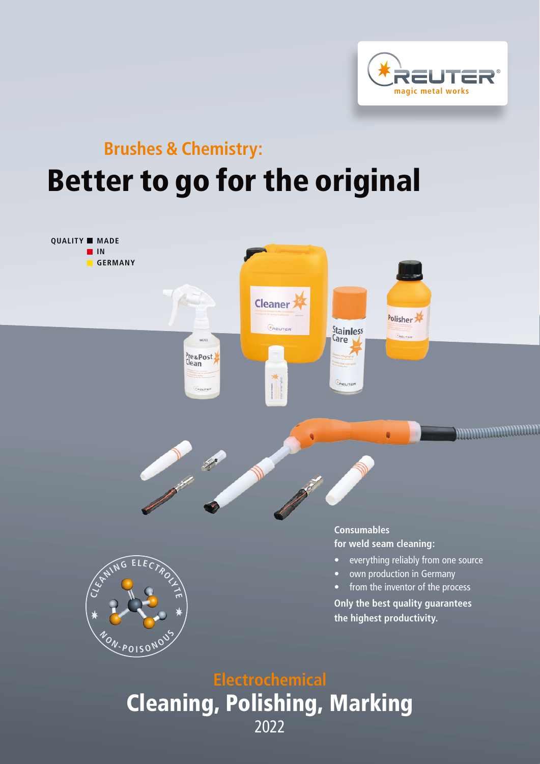

## **Brushes & Chemistry:** Better to go for the original



Cleaning, Polishing, Marking 2022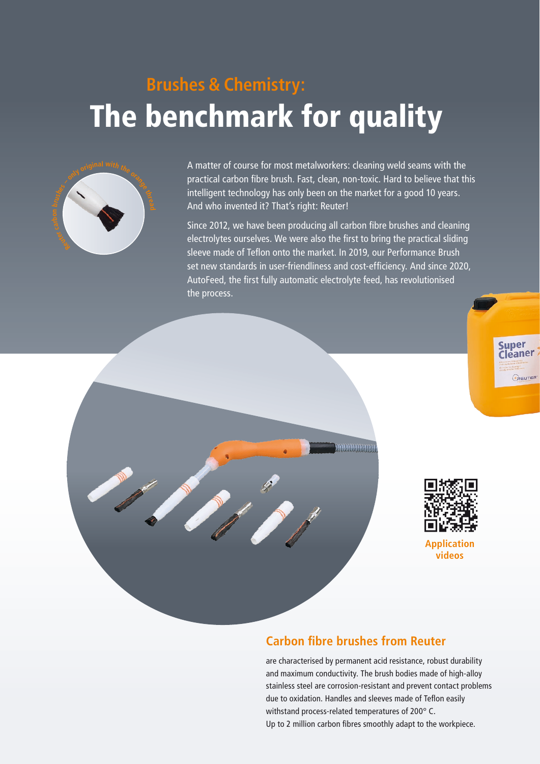# **Brushes & Chemistry:** The benchmark for quality



A matter of course for most metalworkers: cleaning weld seams with the practical carbon fibre brush. Fast, clean, non-toxic. Hard to believe that this intelligent technology has only been on the market for a good 10 years. And who invented it? That's right: Reuter!

Since 2012, we have been producing all carbon fibre brushes and cleaning electrolytes ourselves. We were also the first to bring the practical sliding sleeve made of Teflon onto the market. In 2019, our Performance Brush set new standards in user-friendliness and cost-efficiency. And since 2020, AutoFeed, the first fully automatic electrolyte feed, has revolutionised the process.





**videos**

### **Carbon fibre brushes from Reuter**

mmmmm

are characterised by permanent acid resistance, robust durability and maximum conductivity. The brush bodies made of high-alloy stainless steel are corrosion-resistant and prevent contact problems due to oxidation. Handles and sleeves made of Teflon easily withstand process-related temperatures of 200° C. Up to 2 million carbon fibres smoothly adapt to the workpiece.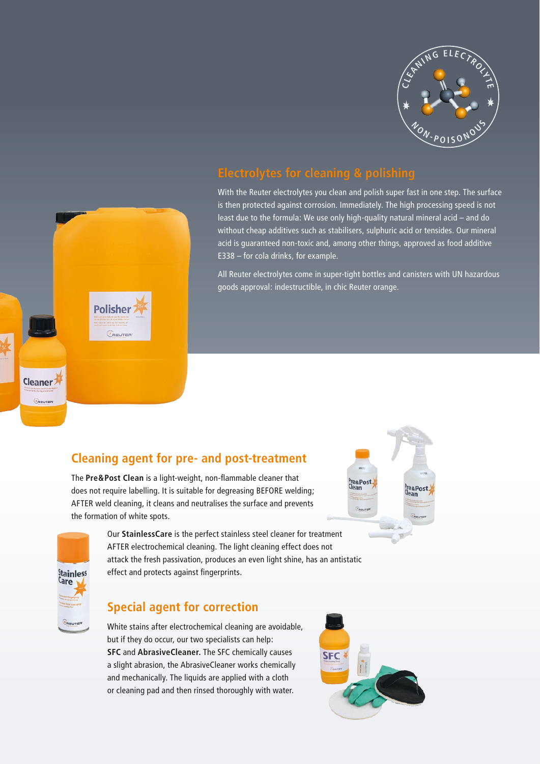

With the Reuter electrolytes you clean and polish super fast in one step. The surface is then protected against corrosion. Immediately. The high processing speed is not least due to the formula: We use only high-quality natural mineral acid – and do without cheap additives such as stabilisers, sulphuric acid or tensides. Our mineral acid is guaranteed non-toxic and, among other things, approved as food additive E338 – for cola drinks, for example.

All Reuter electrolytes come in super-tight bottles and canisters with UN hazardous goods approval: indestructible, in chic Reuter orange.



### **Cleaning agent for pre- and post-treatment**

The **Pre&Post Clean** is a light-weight, non-flammable cleaner that does not require labelling. It is suitable for degreasing BEFORE welding; AFTER weld cleaning, it cleans and neutralises the surface and prevents the formation of white spots.



Our **StainlessCare** is the perfect stainless steel cleaner for treatment AFTER electrochemical cleaning. The light cleaning effect does not attack the fresh passivation, produces an even light shine, has an antistatic effect and protects against fingerprints.





White stains after electrochemical cleaning are avoidable, but if they do occur, our two specialists can help: **SFC** and **AbrasiveCleaner.** The SFC chemically causes a slight abrasion, the AbrasiveCleaner works chemically and mechanically. The liquids are applied with a cloth or cleaning pad and then rinsed thoroughly with water.